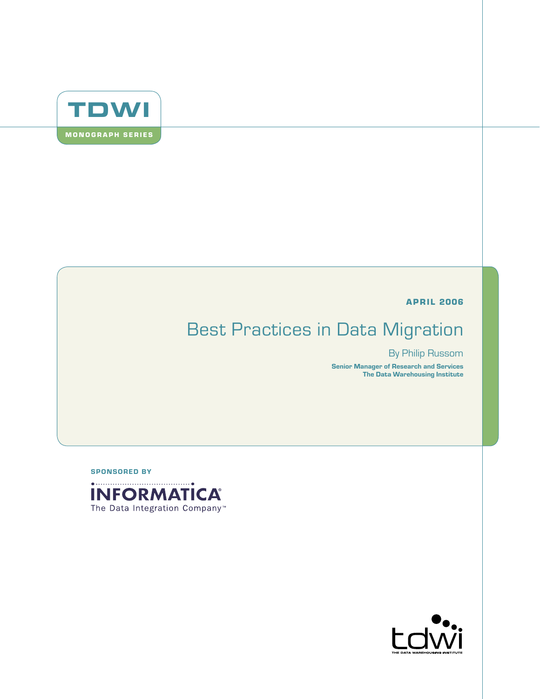

#### **APRIL 2006**

# Best Practices in Data Migration

## By Philip Russom

Senior Manager of Research and Services The Data Warehousing Institute

SPONSORED BY **INFORMATICA®** The Data Integration Company<sup>™</sup>

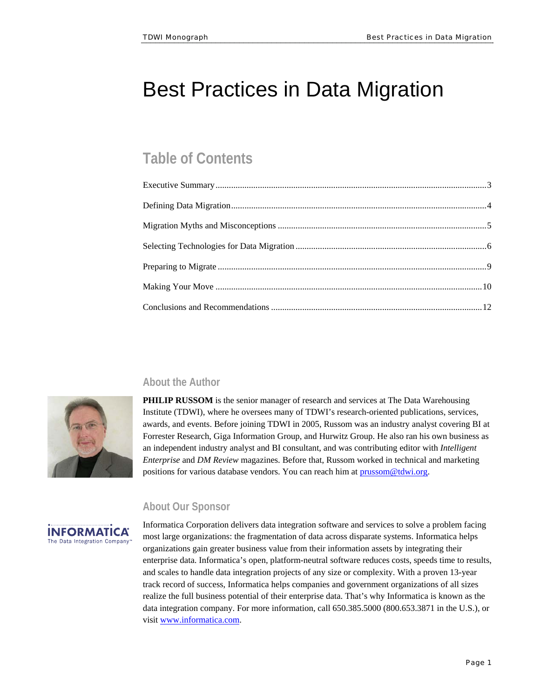# Best Practices in Data Migration

## **Table of Contents**

**PHILIP RUSSOM** is the senior manager of research and services at The Data Warehousing Institute (TDWI), where he oversees many of TDWI's research-oriented publications, services, awards, and events. Before joining TDWI in 2005, Russom was an industry analyst covering BI at Forrester Research, Giga Information Group, and Hurwitz Group. He also ran his own business as an independent industry analyst and BI consultant, and was contributing editor with *Intelligent Enterprise* and *DM Review* magazines. Before that, Russom worked in technical and marketing positions for various database vendors. You can reach him at [prussom@tdwi.org.](mailto:prussom@tdwi.org)

### **About Our Sponsor**

**About the Author** 



Informatica Corporation delivers data integration software and services to solve a problem facing most large organizations: the fragmentation of data across disparate systems. Informatica helps organizations gain greater business value from their information assets by integrating their enterprise data. Informatica's open, platform-neutral software reduces costs, speeds time to results, and scales to handle data integration projects of any size or complexity. With a proven 13-year track record of success, Informatica helps companies and government organizations of all sizes realize the full business potential of their enterprise data. That's why Informatica is known as the data integration company. For more information, call 650.385.5000 (800.653.3871 in the U.S.), or visit [www.informatica.com.](http://www.informatica.com)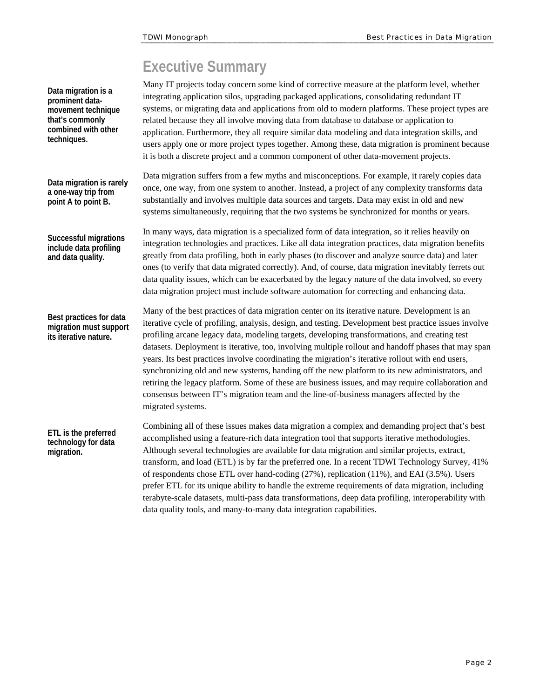## **Executive Summary**

Many IT projects today concern some kind of corrective measure at the platform level, whether integrating application silos, upgrading packaged applications, consolidating redundant IT systems, or migrating data and applications from old to modern platforms. These project types are related because they all involve moving data from database to database or application to application. Furthermore, they all require similar data modeling and data integration skills, and users apply one or more project types together. Among these, data migration is prominent because it is both a discrete project and a common component of other data-movement projects.

Data migration suffers from a few myths and misconceptions. For example, it rarely copies data once, one way, from one system to another. Instead, a project of any complexity transforms data substantially and involves multiple data sources and targets. Data may exist in old and new systems simultaneously, requiring that the two systems be synchronized for months or years.

In many ways, data migration is a specialized form of data integration, so it relies heavily on integration technologies and practices. Like all data integration practices, data migration benefits greatly from data profiling, both in early phases (to discover and analyze source data) and later ones (to verify that data migrated correctly). And, of course, data migration inevitably ferrets out data quality issues, which can be exacerbated by the legacy nature of the data involved, so every data migration project must include software automation for correcting and enhancing data.

Many of the best practices of data migration center on its iterative nature. Development is an iterative cycle of profiling, analysis, design, and testing. Development best practice issues involve profiling arcane legacy data, modeling targets, developing transformations, and creating test datasets. Deployment is iterative, too, involving multiple rollout and handoff phases that may span years. Its best practices involve coordinating the migration's iterative rollout with end users, synchronizing old and new systems, handing off the new platform to its new administrators, and retiring the legacy platform. Some of these are business issues, and may require collaboration and consensus between IT's migration team and the line-of-business managers affected by the migrated systems.

Combining all of these issues makes data migration a complex and demanding project that's best accomplished using a feature-rich data integration tool that supports iterative methodologies. Although several technologies are available for data migration and similar projects, extract, transform, and load (ETL) is by far the preferred one. In a recent TDWI Technology Survey, 41% of respondents chose ETL over hand-coding (27%), replication (11%), and EAI (3.5%). Users prefer ETL for its unique ability to handle the extreme requirements of data migration, including terabyte-scale datasets, multi-pass data transformations, deep data profiling, interoperability with data quality tools, and many-to-many data integration capabilities.

**Data migration is a prominent datamovement technique that's commonly combined with other techniques.** 

**Data migration is rarely a one-way trip from point A to point B.** 

**Successful migrations include data profiling and data quality.** 

**Best practices for data migration must support its iterative nature.** 

**ETL is the preferred technology for data migration.**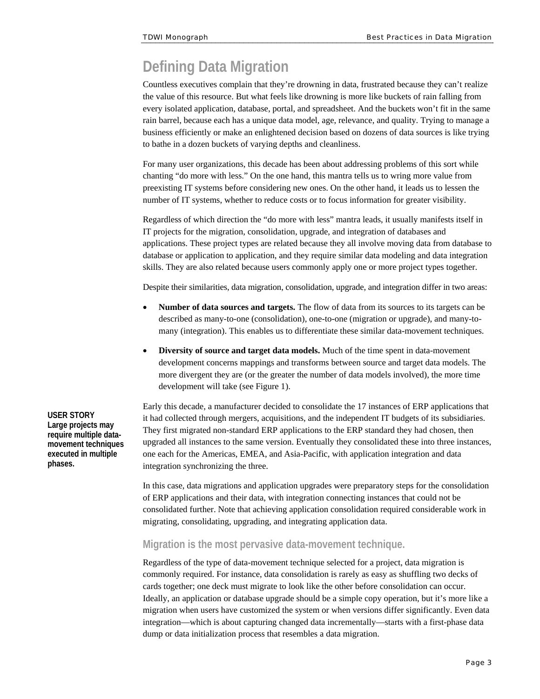## **Defining Data Migration**

Countless executives complain that they're drowning in data, frustrated because they can't realize the value of this resource. But what feels like drowning is more like buckets of rain falling from every isolated application, database, portal, and spreadsheet. And the buckets won't fit in the same rain barrel, because each has a unique data model, age, relevance, and quality. Trying to manage a business efficiently or make an enlightened decision based on dozens of data sources is like trying to bathe in a dozen buckets of varying depths and cleanliness.

For many user organizations, this decade has been about addressing problems of this sort while chanting "do more with less." On the one hand, this mantra tells us to wring more value from preexisting IT systems before considering new ones. On the other hand, it leads us to lessen the number of IT systems, whether to reduce costs or to focus information for greater visibility.

Regardless of which direction the "do more with less" mantra leads, it usually manifests itself in IT projects for the migration, consolidation, upgrade, and integration of databases and applications. These project types are related because they all involve moving data from database to database or application to application, and they require similar data modeling and data integration skills. They are also related because users commonly apply one or more project types together.

Despite their similarities, data migration, consolidation, upgrade, and integration differ in two areas:

- **Number of data sources and targets.** The flow of data from its sources to its targets can be described as many-to-one (consolidation), one-to-one (migration or upgrade), and many-tomany (integration). This enables us to differentiate these similar data-movement techniques.
- **Diversity of source and target data models.** Much of the time spent in data-movement development concerns mappings and transforms between source and target data models. The more divergent they are (or the greater the number of data models involved), the more time development will take (see Figure 1).

Early this decade, a manufacturer decided to consolidate the 17 instances of ERP applications that it had collected through mergers, acquisitions, and the independent IT budgets of its subsidiaries. They first migrated non-standard ERP applications to the ERP standard they had chosen, then upgraded all instances to the same version. Eventually they consolidated these into three instances, one each for the Americas, EMEA, and Asia-Pacific, with application integration and data integration synchronizing the three.

In this case, data migrations and application upgrades were preparatory steps for the consolidation of ERP applications and their data, with integration connecting instances that could not be consolidated further. Note that achieving application consolidation required considerable work in migrating, consolidating, upgrading, and integrating application data.

#### **Migration is the most pervasive data-movement technique.**

Regardless of the type of data-movement technique selected for a project, data migration is commonly required. For instance, data consolidation is rarely as easy as shuffling two decks of cards together; one deck must migrate to look like the other before consolidation can occur. Ideally, an application or database upgrade should be a simple copy operation, but it's more like a migration when users have customized the system or when versions differ significantly. Even data integration—which is about capturing changed data incrementally—starts with a first-phase data dump or data initialization process that resembles a data migration.

**USER STORY Large projects may require multiple datamovement techniques executed in multiple phases.**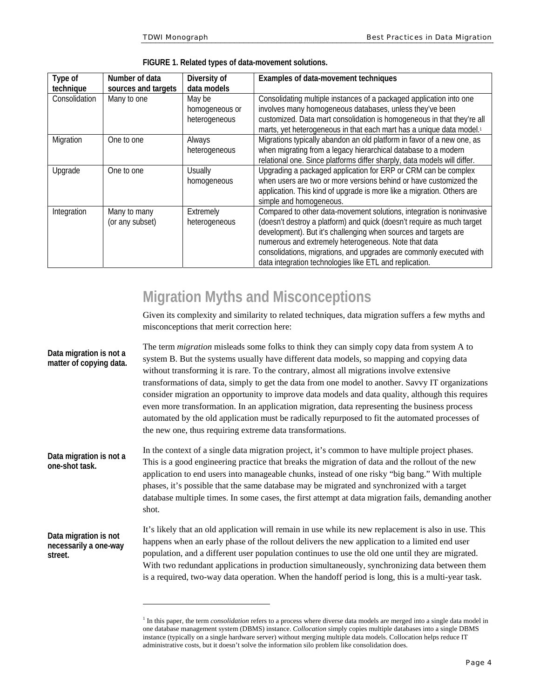-

| Type of<br>technique | Number of data<br>sources and targets | Diversity of<br>data models               | Examples of data-movement techniques                                                                                                                                                                                                                                                                                                                                                                         |
|----------------------|---------------------------------------|-------------------------------------------|--------------------------------------------------------------------------------------------------------------------------------------------------------------------------------------------------------------------------------------------------------------------------------------------------------------------------------------------------------------------------------------------------------------|
| Consolidation        | Many to one                           | May be<br>homogeneous or<br>heterogeneous | Consolidating multiple instances of a packaged application into one<br>involves many homogeneous databases, unless they've been<br>customized. Data mart consolidation is homogeneous in that they're all<br>marts, yet heterogeneous in that each mart has a unique data model. <sup>1</sup>                                                                                                                |
| Migration            | One to one                            | Always<br>heterogeneous                   | Migrations typically abandon an old platform in favor of a new one, as<br>when migrating from a legacy hierarchical database to a modern<br>relational one. Since platforms differ sharply, data models will differ.                                                                                                                                                                                         |
| Upgrade              | One to one                            | Usually<br>homogeneous                    | Upgrading a packaged application for ERP or CRM can be complex<br>when users are two or more versions behind or have customized the<br>application. This kind of upgrade is more like a migration. Others are<br>simple and homogeneous.                                                                                                                                                                     |
| Integration          | Many to many<br>(or any subset)       | Extremely<br>heterogeneous                | Compared to other data-movement solutions, integration is noninvasive<br>(doesn't destroy a platform) and quick (doesn't require as much target<br>development). But it's challenging when sources and targets are<br>numerous and extremely heterogeneous. Note that data<br>consolidations, migrations, and upgrades are commonly executed with<br>data integration technologies like ETL and replication. |

|  |  |  | FIGURE 1. Related types of data-movement solutions. |  |
|--|--|--|-----------------------------------------------------|--|
|--|--|--|-----------------------------------------------------|--|

## **Migration Myths and Misconceptions**

Given its complexity and similarity to related techniques, data migration suffers a few myths and misconceptions that merit correction here:

| Data migration is not a<br>matter of copying data.        | The term <i>migration</i> misleads some folks to think they can simply copy data from system A to<br>system B. But the systems usually have different data models, so mapping and copying data<br>without transforming it is rare. To the contrary, almost all migrations involve extensive<br>transformations of data, simply to get the data from one model to another. Savvy IT organizations<br>consider migration an opportunity to improve data models and data quality, although this requires<br>even more transformation. In an application migration, data representing the business process<br>automated by the old application must be radically repurposed to fit the automated processes of<br>the new one, thus requiring extreme data transformations. |
|-----------------------------------------------------------|------------------------------------------------------------------------------------------------------------------------------------------------------------------------------------------------------------------------------------------------------------------------------------------------------------------------------------------------------------------------------------------------------------------------------------------------------------------------------------------------------------------------------------------------------------------------------------------------------------------------------------------------------------------------------------------------------------------------------------------------------------------------|
| Data migration is not a<br>one-shot task.                 | In the context of a single data migration project, it's common to have multiple project phases.<br>This is a good engineering practice that breaks the migration of data and the rollout of the new<br>application to end users into manageable chunks, instead of one risky "big bang." With multiple<br>phases, it's possible that the same database may be migrated and synchronized with a target<br>database multiple times. In some cases, the first attempt at data migration fails, demanding another<br>shot.                                                                                                                                                                                                                                                 |
| Data migration is not<br>necessarily a one-way<br>street. | It's likely that an old application will remain in use while its new replacement is also in use. This<br>happens when an early phase of the rollout delivers the new application to a limited end user<br>population, and a different user population continues to use the old one until they are migrated.<br>With two redundant applications in production simultaneously, synchronizing data between them<br>is a required, two-way data operation. When the handoff period is long, this is a multi-year task.                                                                                                                                                                                                                                                     |

<sup>&</sup>lt;sup>1</sup> In this paper, the term *consolidation* refers to a process where diverse data models are merged into a single data model in one database management system (DBMS) instance. *Collocation* simply copies multiple databases into a single DBMS instance (typically on a single hardware server) without merging multiple data models. Collocation helps reduce IT administrative costs, but it doesn't solve the information silo problem like consolidation does.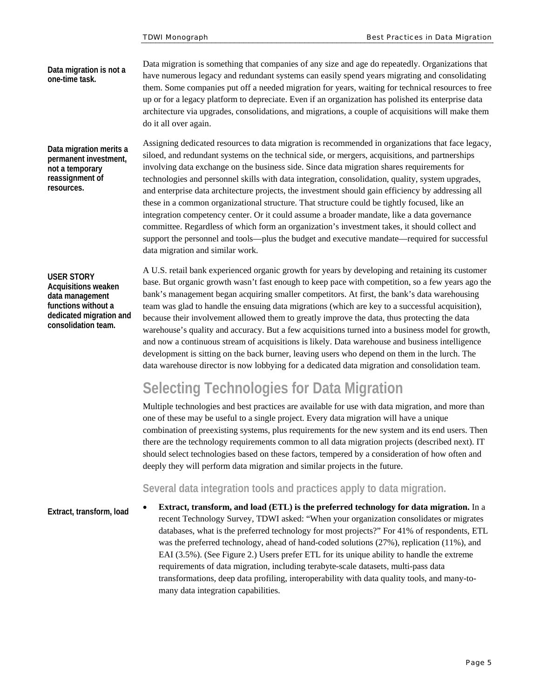data migration and similar work.

**Data migration is not a one-time task.** 

**Data migration merits a permanent investment, not a temporary reassignment of resources.** 

architecture via upgrades, consolidations, and migrations, a couple of acquisitions will make them do it all over again. Assigning dedicated resources to data migration is recommended in organizations that face legacy, siloed, and redundant systems on the technical side, or mergers, acquisitions, and partnerships involving data exchange on the business side. Since data migration shares requirements for technologies and personnel skills with data integration, consolidation, quality, system upgrades, and enterprise data architecture projects, the investment should gain efficiency by addressing all these in a common organizational structure. That structure could be tightly focused, like an integration competency center. Or it could assume a broader mandate, like a data governance committee. Regardless of which form an organization's investment takes, it should collect and

support the personnel and tools—plus the budget and executive mandate—required for successful

Data migration is something that companies of any size and age do repeatedly. Organizations that have numerous legacy and redundant systems can easily spend years migrating and consolidating them. Some companies put off a needed migration for years, waiting for technical resources to free up or for a legacy platform to depreciate. Even if an organization has polished its enterprise data

#### **USER STORY**

**Acquisitions weaken data management functions without a dedicated migration and consolidation team.** 

A U.S. retail bank experienced organic growth for years by developing and retaining its customer base. But organic growth wasn't fast enough to keep pace with competition, so a few years ago the bank's management began acquiring smaller competitors. At first, the bank's data warehousing team was glad to handle the ensuing data migrations (which are key to a successful acquisition), because their involvement allowed them to greatly improve the data, thus protecting the data warehouse's quality and accuracy. But a few acquisitions turned into a business model for growth, and now a continuous stream of acquisitions is likely. Data warehouse and business intelligence development is sitting on the back burner, leaving users who depend on them in the lurch. The data warehouse director is now lobbying for a dedicated data migration and consolidation team.

## **Selecting Technologies for Data Migration**

Multiple technologies and best practices are available for use with data migration, and more than one of these may be useful to a single project. Every data migration will have a unique combination of preexisting systems, plus requirements for the new system and its end users. Then there are the technology requirements common to all data migration projects (described next). IT should select technologies based on these factors, tempered by a consideration of how often and deeply they will perform data migration and similar projects in the future.

#### **Several data integration tools and practices apply to data migration.**

**Extract, transform, load** 

• **Extract, transform, and load (ETL) is the preferred technology for data migration.** In a recent Technology Survey, TDWI asked: "When your organization consolidates or migrates databases, what is the preferred technology for most projects?" For 41% of respondents, ETL was the preferred technology, ahead of hand-coded solutions (27%), replication (11%), and EAI (3.5%). (See Figure 2.) Users prefer ETL for its unique ability to handle the extreme requirements of data migration, including terabyte-scale datasets, multi-pass data transformations, deep data profiling, interoperability with data quality tools, and many-tomany data integration capabilities.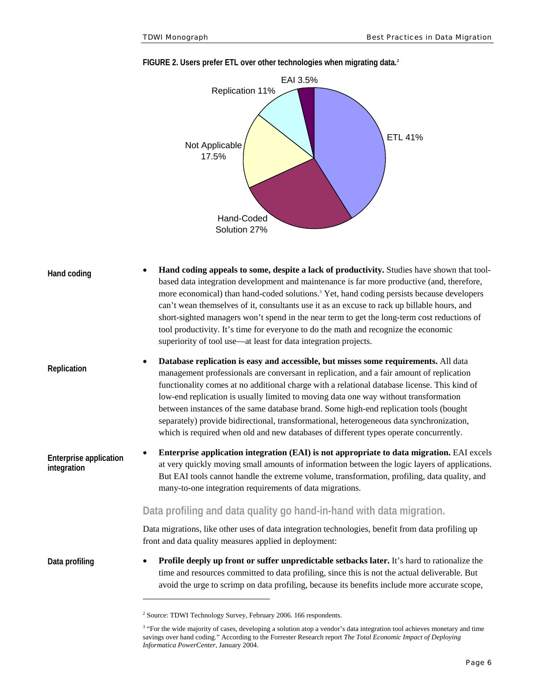

**FIGURE 2. Users prefer ETL over other technologies when migrating data.<sup>2</sup>**

| Hand coding                                  | Hand coding appeals to some, despite a lack of productivity. Studies have shown that tool-<br>based data integration development and maintenance is far more productive (and, therefore,<br>more economical) than hand-coded solutions. <sup>3</sup> Yet, hand coding persists because developers<br>can't wean themselves of it, consultants use it as an excuse to rack up billable hours, and<br>short-sighted managers won't spend in the near term to get the long-term cost reductions of<br>tool productivity. It's time for everyone to do the math and recognize the economic<br>superiority of tool use—at least for data integration projects.  |
|----------------------------------------------|------------------------------------------------------------------------------------------------------------------------------------------------------------------------------------------------------------------------------------------------------------------------------------------------------------------------------------------------------------------------------------------------------------------------------------------------------------------------------------------------------------------------------------------------------------------------------------------------------------------------------------------------------------|
| Replication                                  | Database replication is easy and accessible, but misses some requirements. All data<br>٠<br>management professionals are conversant in replication, and a fair amount of replication<br>functionality comes at no additional charge with a relational database license. This kind of<br>low-end replication is usually limited to moving data one way without transformation<br>between instances of the same database brand. Some high-end replication tools (bought<br>separately) provide bidirectional, transformational, heterogeneous data synchronization,<br>which is required when old and new databases of different types operate concurrently. |
| <b>Enterprise application</b><br>integration | Enterprise application integration (EAI) is not appropriate to data migration. EAI excels<br>$\bullet$<br>at very quickly moving small amounts of information between the logic layers of applications.<br>But EAI tools cannot handle the extreme volume, transformation, profiling, data quality, and<br>many-to-one integration requirements of data migrations.                                                                                                                                                                                                                                                                                        |
|                                              | Data profiling and data quality go hand-in-hand with data migration.                                                                                                                                                                                                                                                                                                                                                                                                                                                                                                                                                                                       |
|                                              | Data migrations, like other uses of data integration technologies, benefit from data profiling up<br>front and data quality measures applied in deployment:                                                                                                                                                                                                                                                                                                                                                                                                                                                                                                |
| Data profiling                               | <b>Profile deeply up front or suffer unpredictable setbacks later.</b> It's hard to rationalize the<br>٠<br>time and resources committed to data profiling, since this is not the actual deliverable. But<br>avoid the urge to scrimp on data profiling, because its benefits include more accurate scope,                                                                                                                                                                                                                                                                                                                                                 |
|                                              | <sup>2</sup> Source: TDWI Technology Survey, February 2006. 166 respondents.                                                                                                                                                                                                                                                                                                                                                                                                                                                                                                                                                                               |

<sup>&</sup>lt;sup>3</sup> "For the wide majority of cases, developing a solution atop a vendor's data integration tool achieves monetary and time savings over hand coding." According to the Forrester Research report *The Total Economic Impact of Deploying Informatica PowerCenter,* January 2004.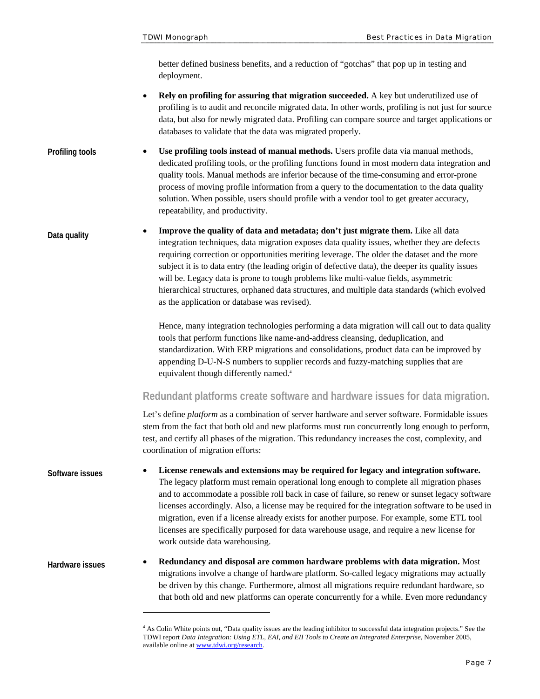better defined business benefits, and a reduction of "gotchas" that pop up in testing and deployment.

- **Rely on profiling for assuring that migration succeeded.** A key but underutilized use of profiling is to audit and reconcile migrated data. In other words, profiling is not just for source data, but also for newly migrated data. Profiling can compare source and target applications or databases to validate that the data was migrated properly.
- **Use profiling tools instead of manual methods.** Users profile data via manual methods, dedicated profiling tools, or the profiling functions found in most modern data integration and quality tools. Manual methods are inferior because of the time-consuming and error-prone process of moving profile information from a query to the documentation to the data quality solution. When possible, users should profile with a vendor tool to get greater accuracy, repeatability, and productivity. **Profiling tools**

**Data quality**

• **Improve the quality of data and metadata; don't just migrate them.** Like all data integration techniques, data migration exposes data quality issues, whether they are defects requiring correction or opportunities meriting leverage. The older the dataset and the more subject it is to data entry (the leading origin of defective data), the deeper its quality issues will be. Legacy data is prone to tough problems like multi-value fields, asymmetric hierarchical structures, orphaned data structures, and multiple data standards (which evolved as the application or database was revised).

Hence, many integration technologies performing a data migration will call out to data quality tools that perform functions like name-and-address cleansing, deduplication, and standardization. With ERP migrations and consolidations, product data can be improved by appending D-U-N-S numbers to supplier records and fuzzy-matching supplies that are equivalent though differently named.<sup>4</sup>

### **Redundant platforms create software and hardware issues for data migration.**

Let's define *platform* as a combination of server hardware and server software. Formidable issues stem from the fact that both old and new platforms must run concurrently long enough to perform, test, and certify all phases of the migration. This redundancy increases the cost, complexity, and coordination of migration efforts:

**Software issues** 

• **License renewals and extensions may be required for legacy and integration software.** The legacy platform must remain operational long enough to complete all migration phases and to accommodate a possible roll back in case of failure, so renew or sunset legacy software licenses accordingly. Also, a license may be required for the integration software to be used in migration, even if a license already exists for another purpose. For example, some ETL tool licenses are specifically purposed for data warehouse usage, and require a new license for work outside data warehousing.

**Hardware issues** 

-

• **Redundancy and disposal are common hardware problems with data migration.** Most migrations involve a change of hardware platform. So-called legacy migrations may actually be driven by this change. Furthermore, almost all migrations require redundant hardware, so that both old and new platforms can operate concurrently for a while. Even more redundancy

<sup>&</sup>lt;sup>4</sup> As Colin White points out, "Data quality issues are the leading inhibitor to successful data integration projects." See the TDWI report *Data Integration: Using ETL, EAI, and EII Tools to Create an Integrated Enterprise,* November 2005, available online at [www.tdwi.org/research.](http://www.tdwi.org/research)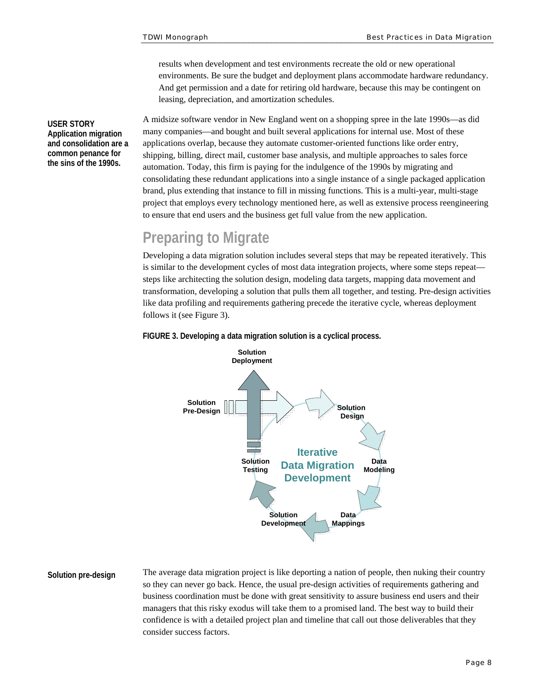results when development and test environments recreate the old or new operational environments. Be sure the budget and deployment plans accommodate hardware redundancy. And get permission and a date for retiring old hardware, because this may be contingent on leasing, depreciation, and amortization schedules.

**USER STORY Application migration and consolidation are a common penance for the sins of the 1990s.** 

A midsize software vendor in New England went on a shopping spree in the late 1990s—as did many companies—and bought and built several applications for internal use. Most of these applications overlap, because they automate customer-oriented functions like order entry, shipping, billing, direct mail, customer base analysis, and multiple approaches to sales force automation. Today, this firm is paying for the indulgence of the 1990s by migrating and consolidating these redundant applications into a single instance of a single packaged application brand, plus extending that instance to fill in missing functions. This is a multi-year, multi-stage project that employs every technology mentioned here, as well as extensive process reengineering to ensure that end users and the business get full value from the new application.

## **Preparing to Migrate**

Developing a data migration solution includes several steps that may be repeated iteratively. This is similar to the development cycles of most data integration projects, where some steps repeat steps like architecting the solution design, modeling data targets, mapping data movement and transformation, developing a solution that pulls them all together, and testing. Pre-design activities like data profiling and requirements gathering precede the iterative cycle, whereas deployment follows it (see Figure 3).

**FIGURE 3. Developing a data migration solution is a cyclical process.** 



#### **Solution pre-design**

The average data migration project is like deporting a nation of people, then nuking their country so they can never go back. Hence, the usual pre-design activities of requirements gathering and business coordination must be done with great sensitivity to assure business end users and their managers that this risky exodus will take them to a promised land. The best way to build their confidence is with a detailed project plan and timeline that call out those deliverables that they consider success factors.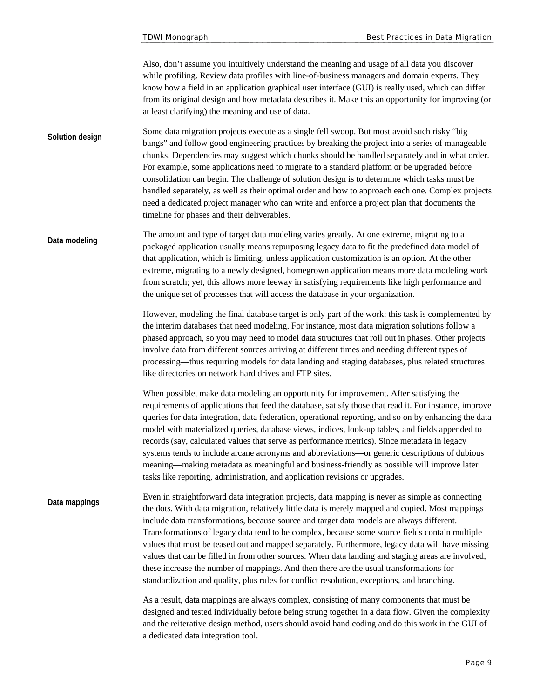| TDWI Monograph |  |
|----------------|--|
|                |  |

Also, don't assume you intuitively understand the meaning and usage of all data you discover while profiling. Review data profiles with line-of-business managers and domain experts. They know how a field in an application graphical user interface (GUI) is really used, which can differ from its original design and how metadata describes it. Make this an opportunity for improving (or at least clarifying) the meaning and use of data.

Some data migration projects execute as a single fell swoop. But most avoid such risky "big bangs" and follow good engineering practices by breaking the project into a series of manageable chunks. Dependencies may suggest which chunks should be handled separately and in what order. For example, some applications need to migrate to a standard platform or be upgraded before consolidation can begin. The challenge of solution design is to determine which tasks must be handled separately, as well as their optimal order and how to approach each one. Complex projects need a dedicated project manager who can write and enforce a project plan that documents the timeline for phases and their deliverables. **Solution design** 

#### The amount and type of target data modeling varies greatly. At one extreme, migrating to a packaged application usually means repurposing legacy data to fit the predefined data model of that application, which is limiting, unless application customization is an option. At the other extreme, migrating to a newly designed, homegrown application means more data modeling work from scratch; yet, this allows more leeway in satisfying requirements like high performance and the unique set of processes that will access the database in your organization. **Data modeling**

However, modeling the final database target is only part of the work; this task is complemented by the interim databases that need modeling. For instance, most data migration solutions follow a phased approach, so you may need to model data structures that roll out in phases. Other projects involve data from different sources arriving at different times and needing different types of processing—thus requiring models for data landing and staging databases, plus related structures like directories on network hard drives and FTP sites.

When possible, make data modeling an opportunity for improvement. After satisfying the requirements of applications that feed the database, satisfy those that read it. For instance, improve queries for data integration, data federation, operational reporting, and so on by enhancing the data model with materialized queries, database views, indices, look-up tables, and fields appended to records (say, calculated values that serve as performance metrics). Since metadata in legacy systems tends to include arcane acronyms and abbreviations—or generic descriptions of dubious meaning—making metadata as meaningful and business-friendly as possible will improve later tasks like reporting, administration, and application revisions or upgrades.

**Data mappings** 

Even in straightforward data integration projects, data mapping is never as simple as connecting the dots. With data migration, relatively little data is merely mapped and copied. Most mappings include data transformations, because source and target data models are always different. Transformations of legacy data tend to be complex, because some source fields contain multiple values that must be teased out and mapped separately. Furthermore, legacy data will have missing values that can be filled in from other sources. When data landing and staging areas are involved, these increase the number of mappings. And then there are the usual transformations for standardization and quality, plus rules for conflict resolution, exceptions, and branching.

As a result, data mappings are always complex, consisting of many components that must be designed and tested individually before being strung together in a data flow. Given the complexity and the reiterative design method, users should avoid hand coding and do this work in the GUI of a dedicated data integration tool.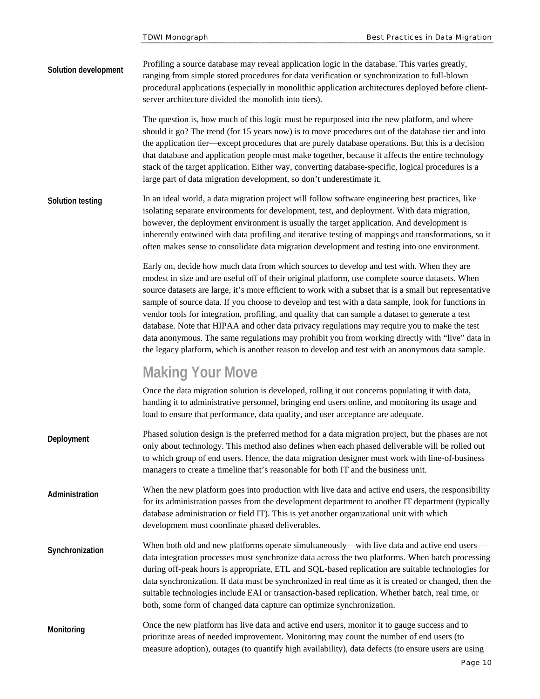| Solution development | Profiling a source database may reveal application logic in the database. This varies greatly,<br>ranging from simple stored procedures for data verification or synchronization to full-blown<br>procedural applications (especially in monolithic application architectures deployed before client-<br>server architecture divided the monolith into tiers).                                                                                                                                                                                                                                                                                                                                                                                                                                                             |
|----------------------|----------------------------------------------------------------------------------------------------------------------------------------------------------------------------------------------------------------------------------------------------------------------------------------------------------------------------------------------------------------------------------------------------------------------------------------------------------------------------------------------------------------------------------------------------------------------------------------------------------------------------------------------------------------------------------------------------------------------------------------------------------------------------------------------------------------------------|
|                      | The question is, how much of this logic must be repurposed into the new platform, and where<br>should it go? The trend (for 15 years now) is to move procedures out of the database tier and into<br>the application tier—except procedures that are purely database operations. But this is a decision<br>that database and application people must make together, because it affects the entire technology<br>stack of the target application. Either way, converting database-specific, logical procedures is a<br>large part of data migration development, so don't underestimate it.                                                                                                                                                                                                                                 |
| Solution testing     | In an ideal world, a data migration project will follow software engineering best practices, like<br>isolating separate environments for development, test, and deployment. With data migration,<br>however, the deployment environment is usually the target application. And development is<br>inherently entwined with data profiling and iterative testing of mappings and transformations, so it<br>often makes sense to consolidate data migration development and testing into one environment.                                                                                                                                                                                                                                                                                                                     |
|                      | Early on, decide how much data from which sources to develop and test with. When they are<br>modest in size and are useful off of their original platform, use complete source datasets. When<br>source datasets are large, it's more efficient to work with a subset that is a small but representative<br>sample of source data. If you choose to develop and test with a data sample, look for functions in<br>vendor tools for integration, profiling, and quality that can sample a dataset to generate a test<br>database. Note that HIPAA and other data privacy regulations may require you to make the test<br>data anonymous. The same regulations may prohibit you from working directly with "live" data in<br>the legacy platform, which is another reason to develop and test with an anonymous data sample. |
|                      | <b>Making Your Move</b>                                                                                                                                                                                                                                                                                                                                                                                                                                                                                                                                                                                                                                                                                                                                                                                                    |
|                      | Once the data migration solution is developed, rolling it out concerns populating it with data,<br>handing it to administrative personnel, bringing end users online, and monitoring its usage and<br>load to ensure that performance, data quality, and user acceptance are adequate.                                                                                                                                                                                                                                                                                                                                                                                                                                                                                                                                     |
| Deployment           | Phased solution design is the preferred method for a data migration project, but the phases are not<br>only about technology. This method also defines when each phased deliverable will be rolled out<br>to which group of end users. Hence, the data migration designer must work with line-of-business<br>managers to create a timeline that's reasonable for both IT and the business unit.                                                                                                                                                                                                                                                                                                                                                                                                                            |
| Administration       | When the new platform goes into production with live data and active end users, the responsibility<br>for its administration passes from the development department to another IT department (typically<br>database administration or field IT). This is yet another organizational unit with which<br>development must coordinate phased deliverables.                                                                                                                                                                                                                                                                                                                                                                                                                                                                    |
| Synchronization      | When both old and new platforms operate simultaneously—with live data and active end users—<br>data integration processes must synchronize data across the two platforms. When batch processing<br>during off-peak hours is appropriate, ETL and SQL-based replication are suitable technologies for<br>data synchronization. If data must be synchronized in real time as it is created or changed, then the<br>suitable technologies include EAI or transaction-based replication. Whether batch, real time, or<br>both, some form of changed data capture can optimize synchronization.                                                                                                                                                                                                                                 |
| Monitoring           | Once the new platform has live data and active end users, monitor it to gauge success and to<br>prioritize areas of needed improvement. Monitoring may count the number of end users (to<br>measure adoption), outages (to quantify high availability), data defects (to ensure users are using                                                                                                                                                                                                                                                                                                                                                                                                                                                                                                                            |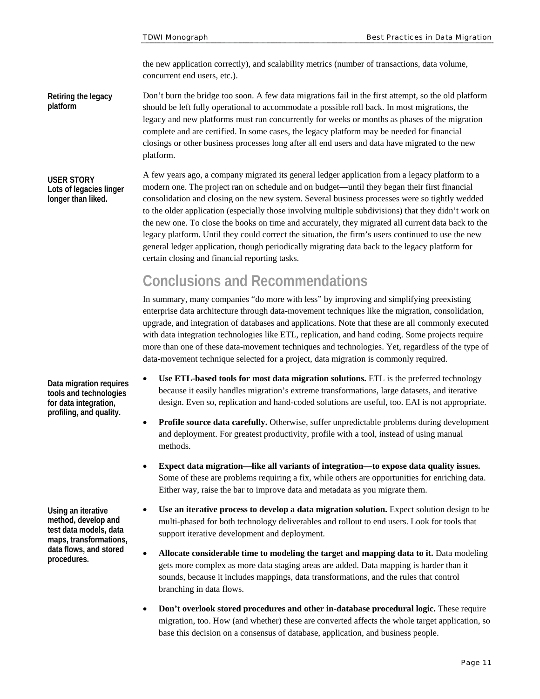the new application correctly), and scalability metrics (number of transactions, data volume, concurrent end users, etc.).

Don't burn the bridge too soon. A few data migrations fail in the first attempt, so the old platform should be left fully operational to accommodate a possible roll back. In most migrations, the legacy and new platforms must run concurrently for weeks or months as phases of the migration complete and are certified. In some cases, the legacy platform may be needed for financial closings or other business processes long after all end users and data have migrated to the new platform. **Retiring the legacy platform** 

**USER STORY Lots of legacies linger longer than liked.** 

A few years ago, a company migrated its general ledger application from a legacy platform to a modern one. The project ran on schedule and on budget—until they began their first financial consolidation and closing on the new system. Several business processes were so tightly wedded to the older application (especially those involving multiple subdivisions) that they didn't work on the new one. To close the books on time and accurately, they migrated all current data back to the legacy platform. Until they could correct the situation, the firm's users continued to use the new general ledger application, though periodically migrating data back to the legacy platform for certain closing and financial reporting tasks.

## **Conclusions and Recommendations**

In summary, many companies "do more with less" by improving and simplifying preexisting enterprise data architecture through data-movement techniques like the migration, consolidation, upgrade, and integration of databases and applications. Note that these are all commonly executed with data integration technologies like ETL, replication, and hand coding. Some projects require more than one of these data-movement techniques and technologies. Yet, regardless of the type of data-movement technique selected for a project, data migration is commonly required.

- **Use ETL-based tools for most data migration solutions.** ETL is the preferred technology because it easily handles migration's extreme transformations, large datasets, and iterative design. Even so, replication and hand-coded solutions are useful, too. EAI is not appropriate.
- **Profile source data carefully.** Otherwise, suffer unpredictable problems during development and deployment. For greatest productivity, profile with a tool, instead of using manual methods.
- **Expect data migration—like all variants of integration—to expose data quality issues.** Some of these are problems requiring a fix, while others are opportunities for enriching data. Either way, raise the bar to improve data and metadata as you migrate them.
- **Use an iterative process to develop a data migration solution.** Expect solution design to be multi-phased for both technology deliverables and rollout to end users. Look for tools that support iterative development and deployment.
- **Allocate considerable time to modeling the target and mapping data to it.** Data modeling gets more complex as more data staging areas are added. Data mapping is harder than it sounds, because it includes mappings, data transformations, and the rules that control branching in data flows.
- **Don't overlook stored procedures and other in-database procedural logic.** These require migration, too. How (and whether) these are converted affects the whole target application, so base this decision on a consensus of database, application, and business people.

**Data migration requires tools and technologies for data integration, profiling, and quality.** 

**Using an iterative method, develop and test data models, data maps, transformations, data flows, and stored procedures.**